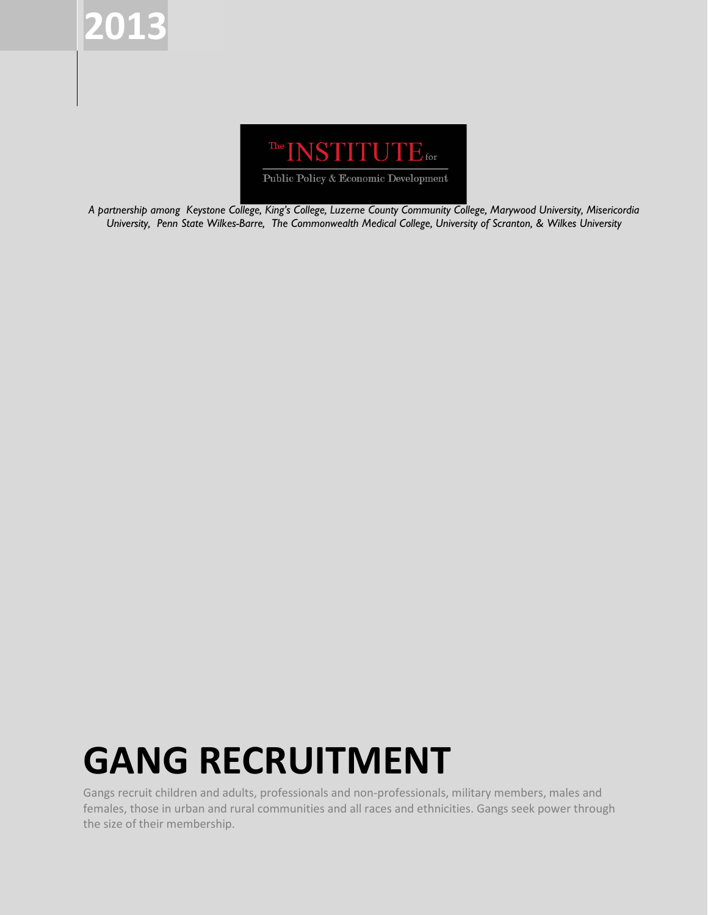



*A partnership among Keystone College, King's College, Luzerne County Community College, Marywood University, Misericordia University, Penn State Wilkes-Barre, The Commonwealth Medical College, University of Scranton, & Wilkes University*

# **GANG RECRUITMENT**

Gangs recruit children and adults, professionals and non-professionals, military members, males and females, those in urban and rural communities and all races and ethnicities. Gangs seek power through the size of their membership.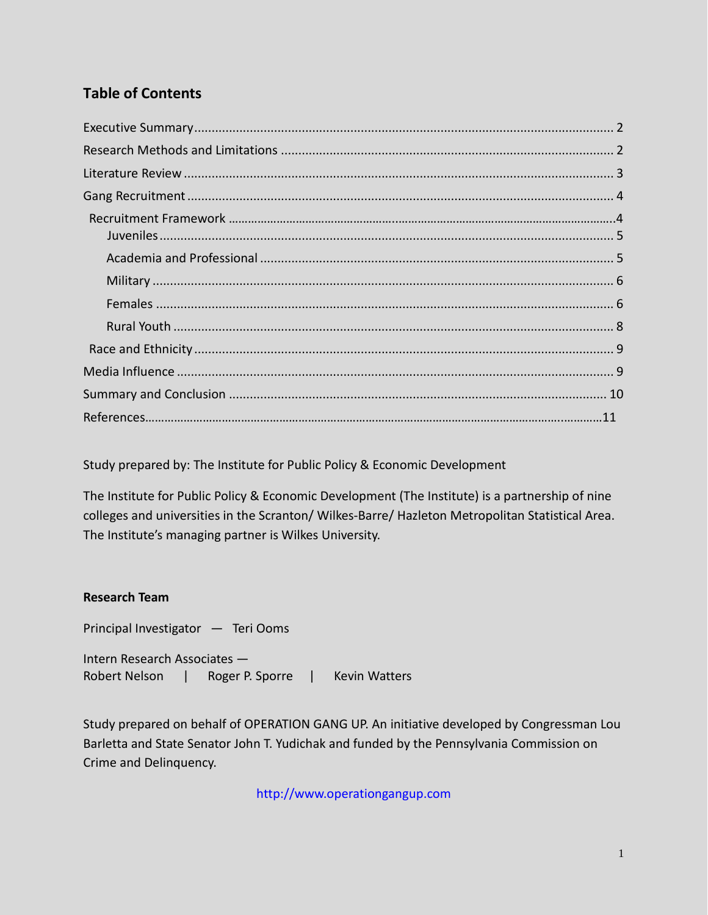# **Table of Contents**

Study prepared by: The Institute for Public Policy & Economic Development

The Institute for Public Policy & Economic Development (The Institute) is a partnership of nine colleges and universities in the Scranton/ Wilkes-Barre/ Hazleton Metropolitan Statistical Area. The Institute's managing partner is Wilkes University.

### **Research Team**

Principal Investigator — Teri Ooms

Intern Research Associates — Robert Nelson | Roger P. Sporre | Kevin Watters

Study prepared on behalf of OPERATION GANG UP. An initiative developed by Congressman Lou Barletta and State Senator John T. Yudichak and funded by the Pennsylvania Commission on Crime and Delinquency.

[http://www.operationgangup.com](http://www.operationgangup.com/)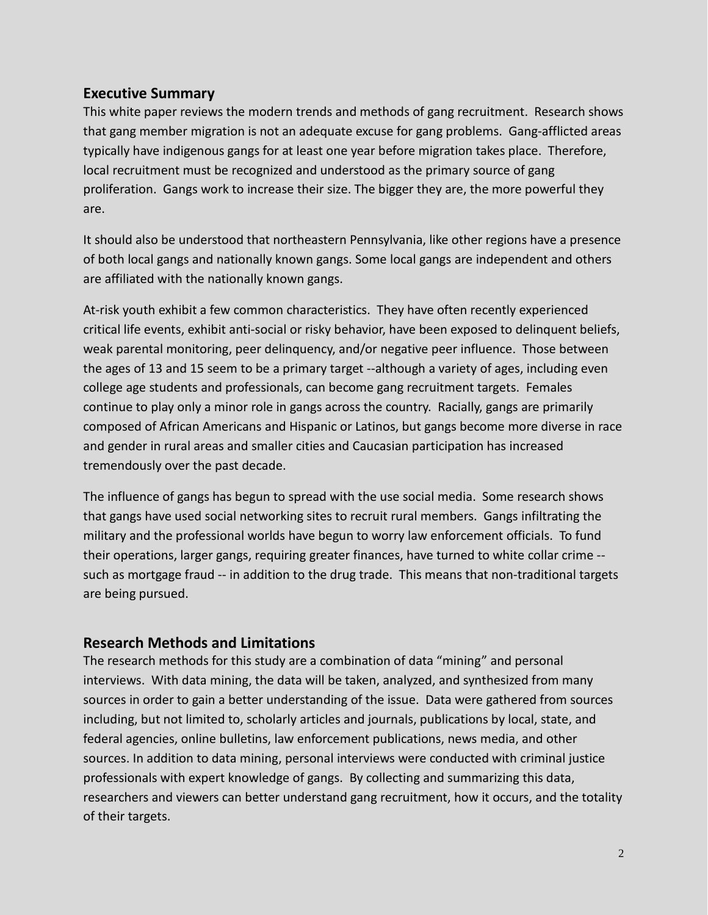## <span id="page-2-0"></span>**Executive Summary**

This white paper reviews the modern trends and methods of gang recruitment. Research shows that gang member migration is not an adequate excuse for gang problems. Gang-afflicted areas typically have indigenous gangs for at least one year before migration takes place. Therefore, local recruitment must be recognized and understood as the primary source of gang proliferation. Gangs work to increase their size. The bigger they are, the more powerful they are.

It should also be understood that northeastern Pennsylvania, like other regions have a presence of both local gangs and nationally known gangs. Some local gangs are independent and others are affiliated with the nationally known gangs.

At-risk youth exhibit a few common characteristics. They have often recently experienced critical life events, exhibit anti-social or risky behavior, have been exposed to delinquent beliefs, weak parental monitoring, peer delinquency, and/or negative peer influence. Those between the ages of 13 and 15 seem to be a primary target --although a variety of ages, including even college age students and professionals, can become gang recruitment targets. Females continue to play only a minor role in gangs across the country. Racially, gangs are primarily composed of African Americans and Hispanic or Latinos, but gangs become more diverse in race and gender in rural areas and smaller cities and Caucasian participation has increased tremendously over the past decade.

The influence of gangs has begun to spread with the use social media. Some research shows that gangs have used social networking sites to recruit rural members. Gangs infiltrating the military and the professional worlds have begun to worry law enforcement officials. To fund their operations, larger gangs, requiring greater finances, have turned to white collar crime - such as mortgage fraud -- in addition to the drug trade. This means that non-traditional targets are being pursued.

## <span id="page-2-1"></span>**Research Methods and Limitations**

The research methods for this study are a combination of data "mining" and personal interviews. With data mining, the data will be taken, analyzed, and synthesized from many sources in order to gain a better understanding of the issue. Data were gathered from sources including, but not limited to, scholarly articles and journals, publications by local, state, and federal agencies, online bulletins, law enforcement publications, news media, and other sources. In addition to data mining, personal interviews were conducted with criminal justice professionals with expert knowledge of gangs. By collecting and summarizing this data, researchers and viewers can better understand gang recruitment, how it occurs, and the totality of their targets.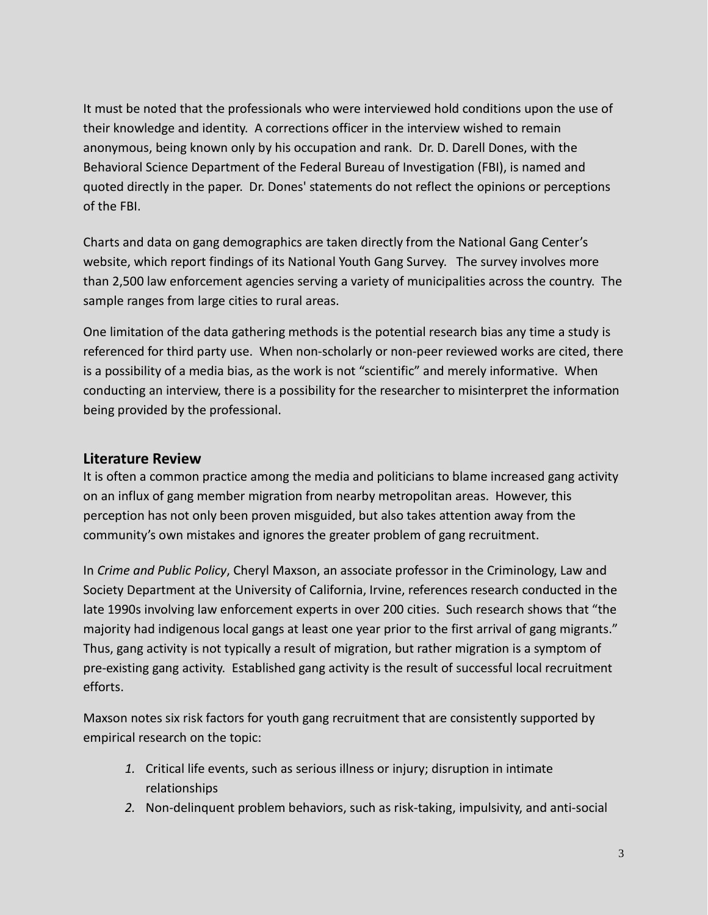It must be noted that the professionals who were interviewed hold conditions upon the use of their knowledge and identity. A corrections officer in the interview wished to remain anonymous, being known only by his occupation and rank. Dr. D. Darell Dones, with the Behavioral Science Department of the Federal Bureau of Investigation (FBI), is named and quoted directly in the paper. Dr. Dones' statements do not reflect the opinions or perceptions of the FBI.

Charts and data on gang demographics are taken directly from the National Gang Center's website, which report findings of its National Youth Gang Survey. The survey involves more than 2,500 law enforcement agencies serving a variety of municipalities across the country. The sample ranges from large cities to rural areas.

One limitation of the data gathering methods is the potential research bias any time a study is referenced for third party use. When non-scholarly or non-peer reviewed works are cited, there is a possibility of a media bias, as the work is not "scientific" and merely informative. When conducting an interview, there is a possibility for the researcher to misinterpret the information being provided by the professional.

## <span id="page-3-0"></span>**Literature Review**

It is often a common practice among the media and politicians to blame increased gang activity on an influx of gang member migration from nearby metropolitan areas. However, this perception has not only been proven misguided, but also takes attention away from the community's own mistakes and ignores the greater problem of gang recruitment.

In *Crime and Public Policy*, Cheryl Maxson, an associate professor in the Criminology, Law and Society Department at the University of California, Irvine, references research conducted in the late 1990s involving law enforcement experts in over 200 cities. Such research shows that "the majority had indigenous local gangs at least one year prior to the first arrival of gang migrants." Thus, gang activity is not typically a result of migration, but rather migration is a symptom of pre-existing gang activity. Established gang activity is the result of successful local recruitment efforts.

Maxson notes six risk factors for youth gang recruitment that are consistently supported by empirical research on the topic:

- *1.* Critical life events, such as serious illness or injury; disruption in intimate relationships
- *2.* Non-delinquent problem behaviors, such as risk-taking, impulsivity, and anti-social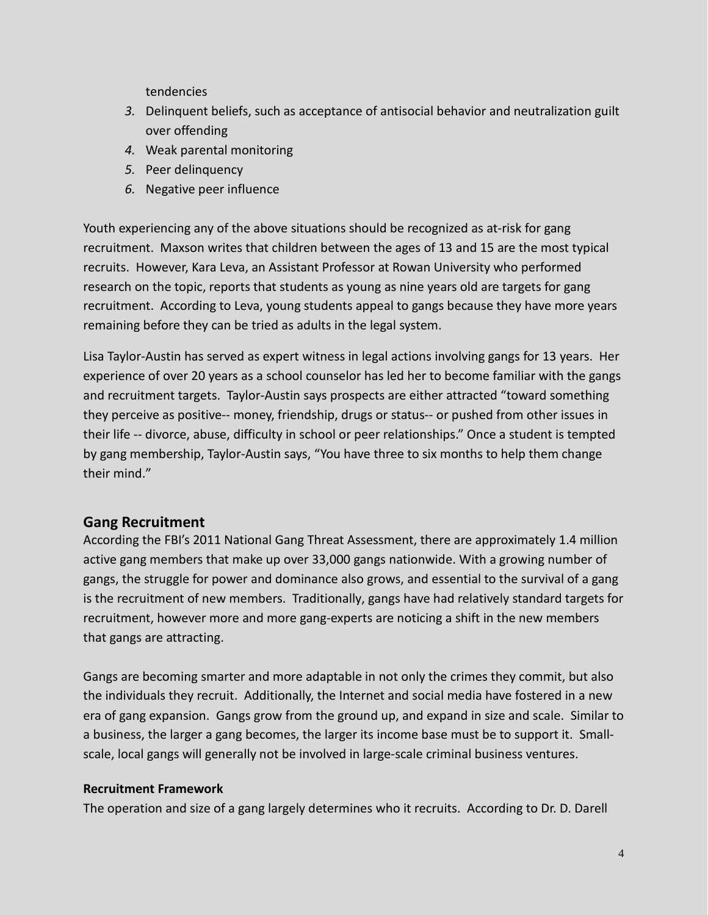tendencies

- *3.* Delinquent beliefs, such as acceptance of antisocial behavior and neutralization guilt over offending
- *4.* Weak parental monitoring
- *5.* Peer delinquency
- *6.* Negative peer influence

Youth experiencing any of the above situations should be recognized as at-risk for gang recruitment. Maxson writes that children between the ages of 13 and 15 are the most typical recruits. However, Kara Leva, an Assistant Professor at Rowan University who performed research on the topic, reports that students as young as nine years old are targets for gang recruitment. According to Leva, young students appeal to gangs because they have more years remaining before they can be tried as adults in the legal system.

Lisa Taylor-Austin has served as expert witness in legal actions involving gangs for 13 years. Her experience of over 20 years as a school counselor has led her to become familiar with the gangs and recruitment targets. Taylor-Austin says prospects are either attracted "toward something they perceive as positive-- money, friendship, drugs or status-- or pushed from other issues in their life -- divorce, abuse, difficulty in school or peer relationships." Once a student is tempted by gang membership, Taylor-Austin says, "You have three to six months to help them change their mind."

## <span id="page-4-0"></span>**Gang Recruitment**

According the FBI's 2011 National Gang Threat Assessment, there are approximately 1.4 million active gang members that make up over 33,000 gangs nationwide. With a growing number of gangs, the struggle for power and dominance also grows, and essential to the survival of a gang is the recruitment of new members. Traditionally, gangs have had relatively standard targets for recruitment, however more and more gang-experts are noticing a shift in the new members that gangs are attracting.

Gangs are becoming smarter and more adaptable in not only the crimes they commit, but also the individuals they recruit. Additionally, the Internet and social media have fostered in a new era of gang expansion. Gangs grow from the ground up, and expand in size and scale. Similar to a business, the larger a gang becomes, the larger its income base must be to support it. Smallscale, local gangs will generally not be involved in large-scale criminal business ventures.

## **Recruitment Framework**

The operation and size of a gang largely determines who it recruits. According to Dr. D. Darell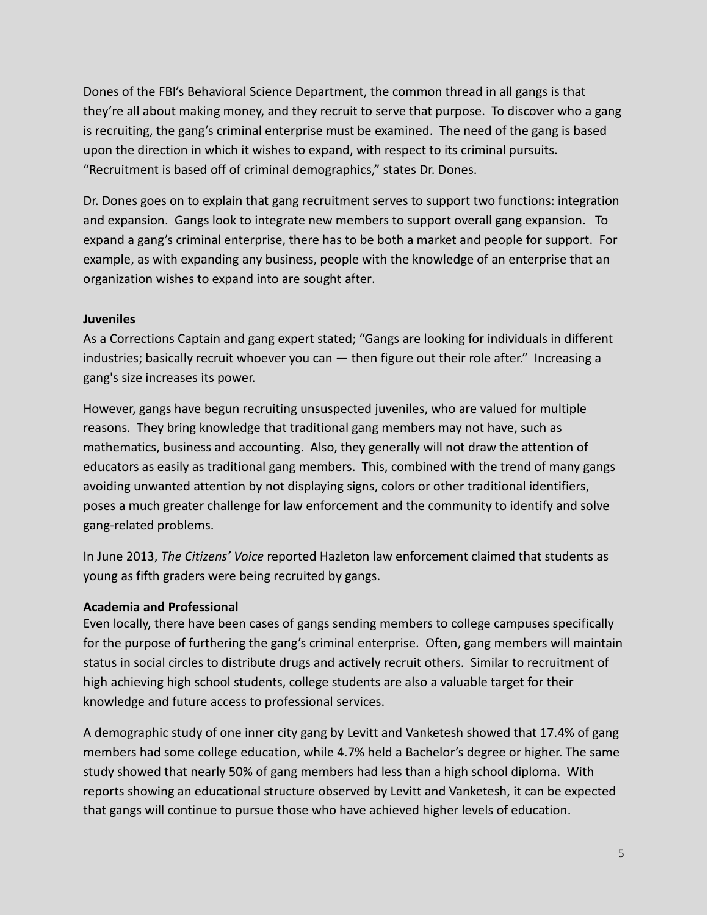Dones of the FBI's Behavioral Science Department, the common thread in all gangs is that they're all about making money, and they recruit to serve that purpose. To discover who a gang is recruiting, the gang's criminal enterprise must be examined. The need of the gang is based upon the direction in which it wishes to expand, with respect to its criminal pursuits. "Recruitment is based off of criminal demographics," states Dr. Dones.

<span id="page-5-0"></span>Dr. Dones goes on to explain that gang recruitment serves to support two functions: integration and expansion. Gangs look to integrate new members to support overall gang expansion. To expand a gang's criminal enterprise, there has to be both a market and people for support. For example, as with expanding any business, people with the knowledge of an enterprise that an organization wishes to expand into are sought after.

### **Juveniles**

As a Corrections Captain and gang expert stated; "Gangs are looking for individuals in different industries; basically recruit whoever you can — then figure out their role after." Increasing a gang's size increases its power.

However, gangs have begun recruiting unsuspected juveniles, who are valued for multiple reasons. They bring knowledge that traditional gang members may not have, such as mathematics, business and accounting. Also, they generally will not draw the attention of educators as easily as traditional gang members. This, combined with the trend of many gangs avoiding unwanted attention by not displaying signs, colors or other traditional identifiers, poses a much greater challenge for law enforcement and the community to identify and solve gang-related problems.

In June 2013, *The Citizens' Voice* reported Hazleton law enforcement claimed that students as young as fifth graders were being recruited by gangs.

### <span id="page-5-1"></span>**Academia and Professional**

Even locally, there have been cases of gangs sending members to college campuses specifically for the purpose of furthering the gang's criminal enterprise. Often, gang members will maintain status in social circles to distribute drugs and actively recruit others. Similar to recruitment of high achieving high school students, college students are also a valuable target for their knowledge and future access to professional services.

A demographic study of one inner city gang by Levitt and Vanketesh showed that 17.4% of gang members had some college education, while 4.7% held a Bachelor's degree or higher. The same study showed that nearly 50% of gang members had less than a high school diploma. With reports showing an educational structure observed by Levitt and Vanketesh, it can be expected that gangs will continue to pursue those who have achieved higher levels of education.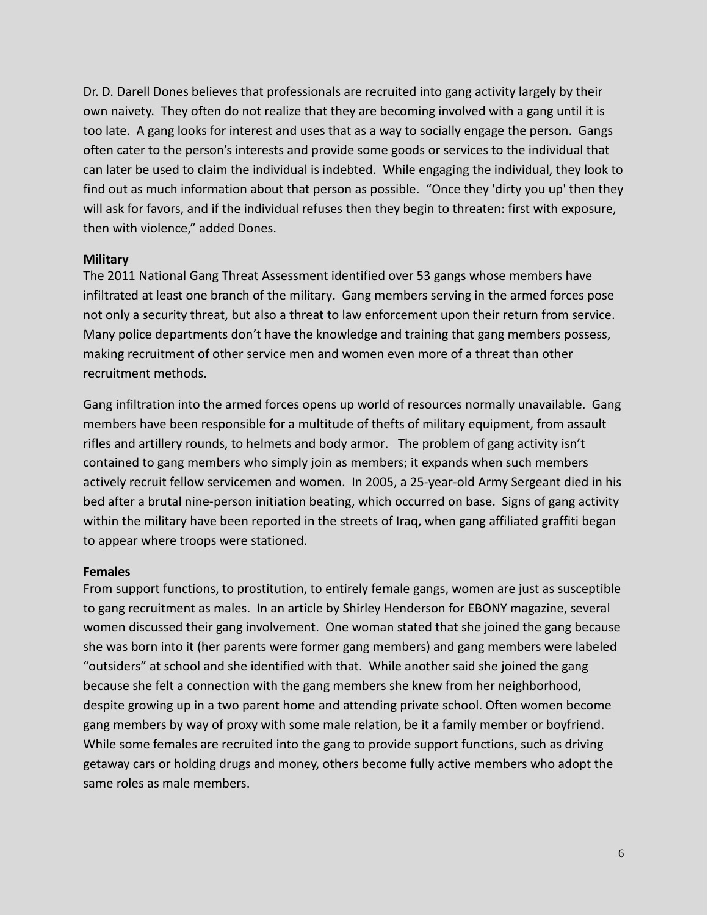Dr. D. Darell Dones believes that professionals are recruited into gang activity largely by their own naivety. They often do not realize that they are becoming involved with a gang until it is too late. A gang looks for interest and uses that as a way to socially engage the person. Gangs often cater to the person's interests and provide some goods or services to the individual that can later be used to claim the individual is indebted. While engaging the individual, they look to find out as much information about that person as possible. "Once they 'dirty you up' then they will ask for favors, and if the individual refuses then they begin to threaten: first with exposure, then with violence," added Dones.

#### <span id="page-6-0"></span>**Military**

The 2011 National Gang Threat Assessment identified over 53 gangs whose members have infiltrated at least one branch of the military. Gang members serving in the armed forces pose not only a security threat, but also a threat to law enforcement upon their return from service. Many police departments don't have the knowledge and training that gang members possess, making recruitment of other service men and women even more of a threat than other recruitment methods.

Gang infiltration into the armed forces opens up world of resources normally unavailable. Gang members have been responsible for a multitude of thefts of military equipment, from assault rifles and artillery rounds, to helmets and body armor. The problem of gang activity isn't contained to gang members who simply join as members; it expands when such members actively recruit fellow servicemen and women. In 2005, a 25-year-old Army Sergeant died in his bed after a brutal nine-person initiation beating, which occurred on base. Signs of gang activity within the military have been reported in the streets of Iraq, when gang affiliated graffiti began to appear where troops were stationed.

#### <span id="page-6-1"></span>**Females**

From support functions, to prostitution, to entirely female gangs, women are just as susceptible to gang recruitment as males. In an article by Shirley Henderson for EBONY magazine, several women discussed their gang involvement. One woman stated that she joined the gang because she was born into it (her parents were former gang members) and gang members were labeled "outsiders" at school and she identified with that. While another said she joined the gang because she felt a connection with the gang members she knew from her neighborhood, despite growing up in a two parent home and attending private school. Often women become gang members by way of proxy with some male relation, be it a family member or boyfriend. While some females are recruited into the gang to provide support functions, such as driving getaway cars or holding drugs and money, others become fully active members who adopt the same roles as male members.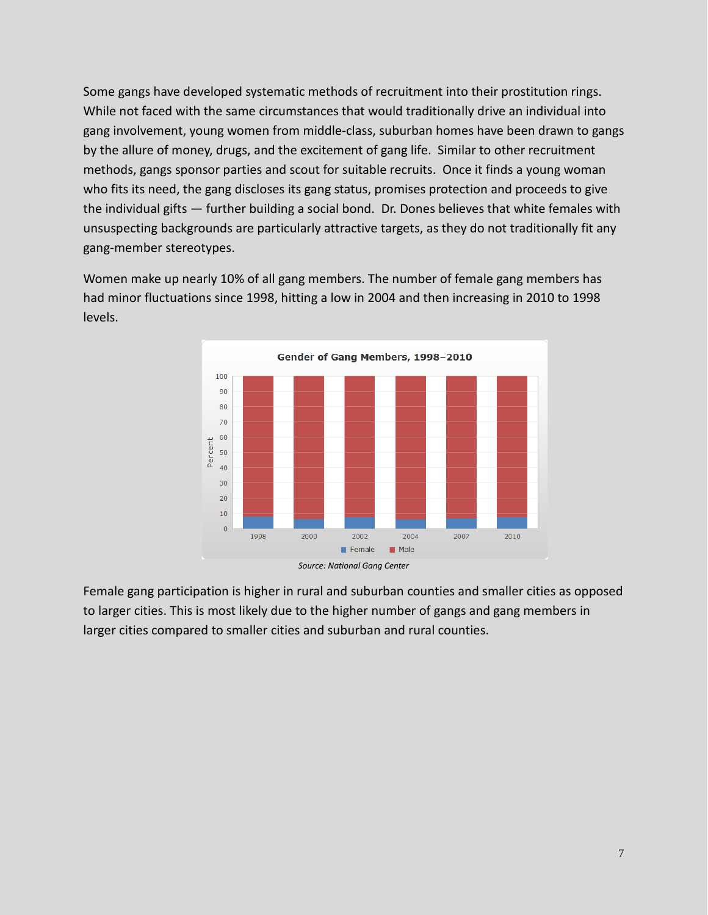Some gangs have developed systematic methods of recruitment into their prostitution rings. While not faced with the same circumstances that would traditionally drive an individual into gang involvement, young women from middle-class, suburban homes have been drawn to gangs by the allure of money, drugs, and the excitement of gang life. Similar to other recruitment methods, gangs sponsor parties and scout for suitable recruits. Once it finds a young woman who fits its need, the gang discloses its gang status, promises protection and proceeds to give the individual gifts — further building a social bond. Dr. Dones believes that white females with unsuspecting backgrounds are particularly attractive targets, as they do not traditionally fit any gang-member stereotypes.

Women make up nearly 10% of all gang members. The number of female gang members has had minor fluctuations since 1998, hitting a low in 2004 and then increasing in 2010 to 1998 levels.



Female gang participation is higher in rural and suburban counties and smaller cities as opposed to larger cities. This is most likely due to the higher number of gangs and gang members in larger cities compared to smaller cities and suburban and rural counties.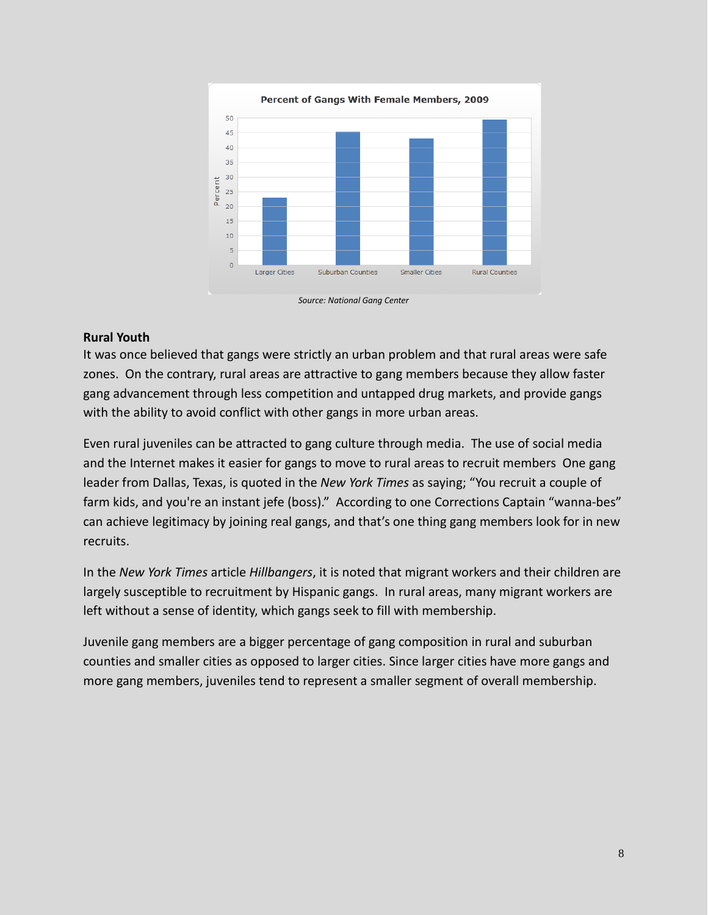

#### <span id="page-8-0"></span>**Rural Youth**

It was once believed that gangs were strictly an urban problem and that rural areas were safe zones. On the contrary, rural areas are attractive to gang members because they allow faster gang advancement through less competition and untapped drug markets, and provide gangs with the ability to avoid conflict with other gangs in more urban areas.

Even rural juveniles can be attracted to gang culture through media. The use of social media and the Internet makes it easier for gangs to move to rural areas to recruit members One gang leader from Dallas, Texas, is quoted in the *New York Times* as saying; "You recruit a couple of farm kids, and you're an instant jefe (boss)." According to one Corrections Captain "wanna-bes" can achieve legitimacy by joining real gangs, and that's one thing gang members look for in new recruits.

In the *New York Times* article *Hillbangers*, it is noted that migrant workers and their children are largely susceptible to recruitment by Hispanic gangs. In rural areas, many migrant workers are left without a sense of identity, which gangs seek to fill with membership.

Juvenile gang members are a bigger percentage of gang composition in rural and suburban counties and smaller cities as opposed to larger cities. Since larger cities have more gangs and more gang members, juveniles tend to represent a smaller segment of overall membership.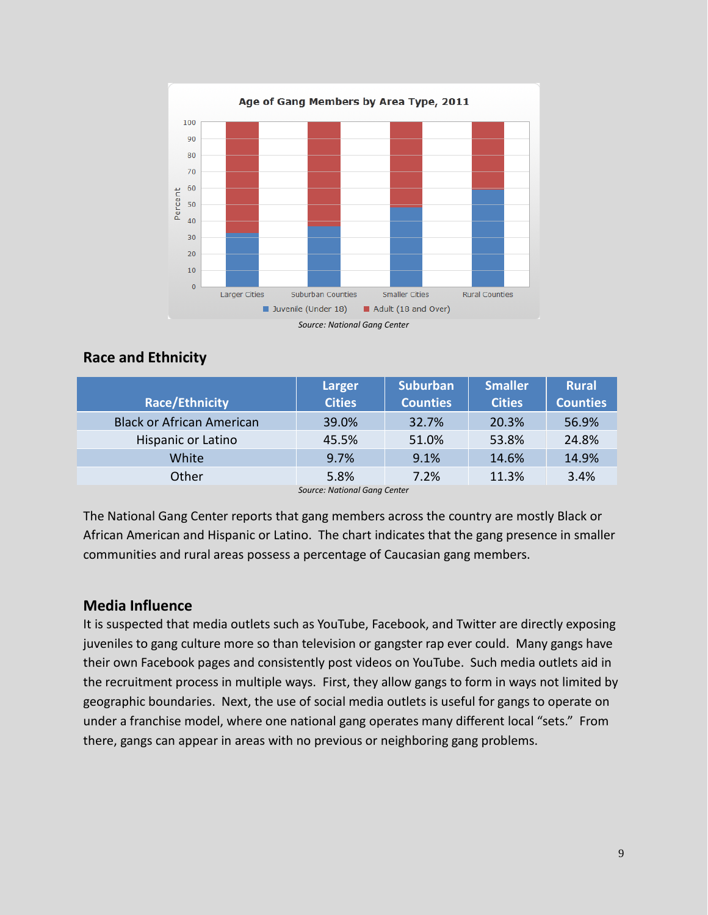

## <span id="page-9-0"></span>**Race and Ethnicity**

|                                  | <b>Larger</b> | <b>Suburban</b> | <b>Smaller</b> | <b>Rural</b>    |  |
|----------------------------------|---------------|-----------------|----------------|-----------------|--|
| <b>Race/Ethnicity</b>            | <b>Cities</b> | <b>Counties</b> | <b>Cities</b>  | <b>Counties</b> |  |
| <b>Black or African American</b> | 39.0%         | 32.7%           | 20.3%          | 56.9%           |  |
| Hispanic or Latino               | 45.5%         | 51.0%           | 53.8%          | 24.8%           |  |
| White                            | 9.7%          | 9.1%            | 14.6%          | 14.9%           |  |
| Other                            | 5.8%          | 7.2%            | 11.3%          | 3.4%            |  |
| Source: National Gana Center     |               |                 |                |                 |  |

*Source: National Gang Center*

The National Gang Center reports that gang members across the country are mostly Black or African American and Hispanic or Latino. The chart indicates that the gang presence in smaller communities and rural areas possess a percentage of Caucasian gang members.

## <span id="page-9-1"></span>**Media Influence**

It is suspected that media outlets such as YouTube, Facebook, and Twitter are directly exposing juveniles to gang culture more so than television or gangster rap ever could. Many gangs have their own Facebook pages and consistently post videos on YouTube. Such media outlets aid in the recruitment process in multiple ways. First, they allow gangs to form in ways not limited by geographic boundaries. Next, the use of social media outlets is useful for gangs to operate on under a franchise model, where one national gang operates many different local "sets." From there, gangs can appear in areas with no previous or neighboring gang problems.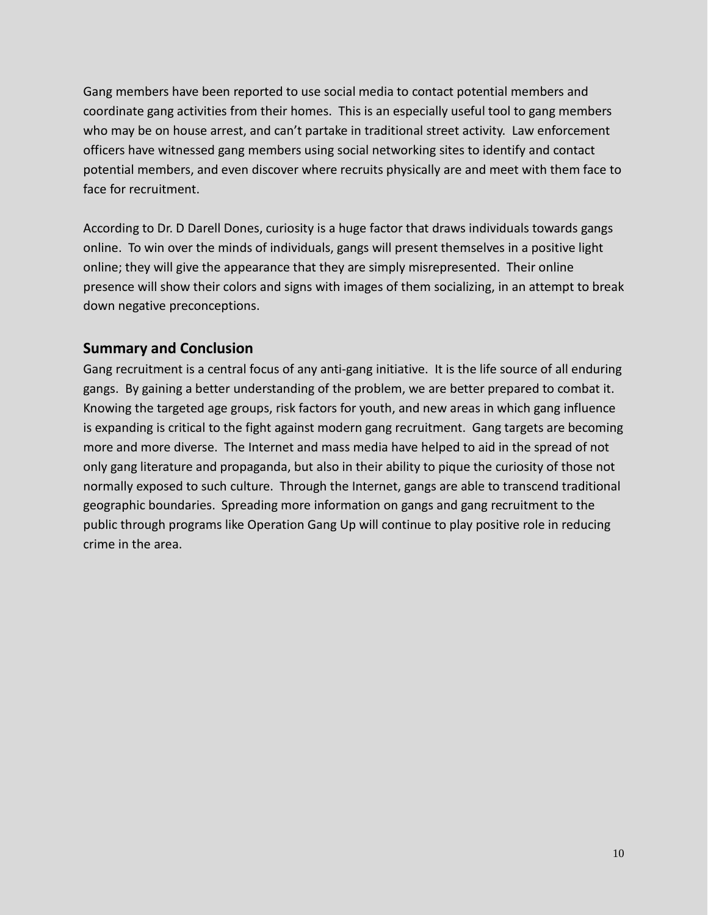<span id="page-10-0"></span>Gang members have been reported to use social media to contact potential members and coordinate gang activities from their homes. This is an especially useful tool to gang members who may be on house arrest, and can't partake in traditional street activity. Law enforcement officers have witnessed gang members using social networking sites to identify and contact potential members, and even discover where recruits physically are and meet with them face to face for recruitment.

According to Dr. D Darell Dones, curiosity is a huge factor that draws individuals towards gangs online. To win over the minds of individuals, gangs will present themselves in a positive light online; they will give the appearance that they are simply misrepresented. Their online presence will show their colors and signs with images of them socializing, in an attempt to break down negative preconceptions.

## **Summary and Conclusion**

Gang recruitment is a central focus of any anti-gang initiative. It is the life source of all enduring gangs. By gaining a better understanding of the problem, we are better prepared to combat it. Knowing the targeted age groups, risk factors for youth, and new areas in which gang influence is expanding is critical to the fight against modern gang recruitment. Gang targets are becoming more and more diverse. The Internet and mass media have helped to aid in the spread of not only gang literature and propaganda, but also in their ability to pique the curiosity of those not normally exposed to such culture. Through the Internet, gangs are able to transcend traditional geographic boundaries. Spreading more information on gangs and gang recruitment to the public through programs like Operation Gang Up will continue to play positive role in reducing crime in the area.